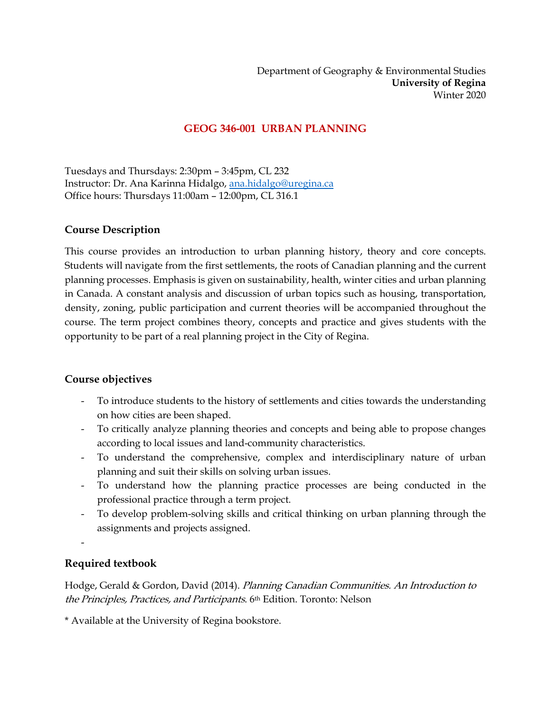# **GEOG 346-001 URBAN PLANNING**

Tuesdays and Thursdays: 2:30pm – 3:45pm, CL 232 Instructor: Dr. Ana Karinna Hidalgo[, ana.hidalgo@uregina.ca](mailto:ana.hidalgo@uregina.ca) Office hours: Thursdays 11:00am – 12:00pm, CL 316.1

### **Course Description**

This course provides an introduction to urban planning history, theory and core concepts. Students will navigate from the first settlements, the roots of Canadian planning and the current planning processes. Emphasis is given on sustainability, health, winter cities and urban planning in Canada. A constant analysis and discussion of urban topics such as housing, transportation, density, zoning, public participation and current theories will be accompanied throughout the course. The term project combines theory, concepts and practice and gives students with the opportunity to be part of a real planning project in the City of Regina.

### **Course objectives**

- To introduce students to the history of settlements and cities towards the understanding on how cities are been shaped.
- To critically analyze planning theories and concepts and being able to propose changes according to local issues and land-community characteristics.
- To understand the comprehensive, complex and interdisciplinary nature of urban planning and suit their skills on solving urban issues.
- To understand how the planning practice processes are being conducted in the professional practice through a term project.
- To develop problem-solving skills and critical thinking on urban planning through the assignments and projects assigned.
- -

# **Required textbook**

Hodge, Gerald & Gordon, David (2014). Planning Canadian Communities. An Introduction to the Principles, Practices, and Participants. 6th Edition. Toronto: Nelson

\* Available at the University of Regina bookstore.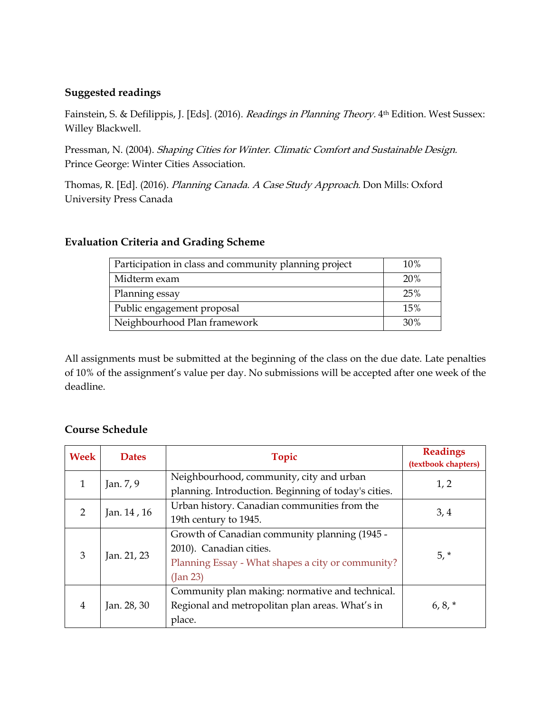### **Suggested readings**

Fainstein, S. & Defilippis, J. [Eds]. (2016). *Readings in Planning Theory*. 4<sup>th</sup> Edition. West Sussex: Willey Blackwell.

Pressman, N. (2004). Shaping Cities for Winter. Climatic Comfort and Sustainable Design. Prince George: Winter Cities Association.

Thomas, R. [Ed]. (2016). Planning Canada. A Case Study Approach. Don Mills: Oxford University Press Canada

### **Evaluation Criteria and Grading Scheme**

| Participation in class and community planning project | 10%        |
|-------------------------------------------------------|------------|
| Midterm exam                                          | <b>20%</b> |
| Planning essay                                        | 25%        |
| Public engagement proposal                            | 15%        |
| Neighbourhood Plan framework                          | 30%        |

All assignments must be submitted at the beginning of the class on the due date. Late penalties of 10% of the assignment's value per day. No submissions will be accepted after one week of the deadline.

# **Course Schedule**

| Week           | <b>Dates</b> | <b>Topic</b>                                         | <b>Readings</b><br>(textbook chapters) |
|----------------|--------------|------------------------------------------------------|----------------------------------------|
| 1              | Jan. 7, 9    | Neighbourhood, community, city and urban             | 1, 2                                   |
|                |              | planning. Introduction. Beginning of today's cities. |                                        |
| $\mathcal{P}$  | Jan. 14, 16  | Urban history. Canadian communities from the         | 3, 4                                   |
|                |              | 19th century to 1945.                                |                                        |
| 3              | Jan. 21, 23  | Growth of Canadian community planning (1945 -        |                                        |
|                |              | 2010). Canadian cities.                              | $5, *$                                 |
|                |              | Planning Essay - What shapes a city or community?    |                                        |
|                |              | $($ Jan 23 $)$                                       |                                        |
| $\overline{4}$ | Jan. 28, 30  | Community plan making: normative and technical.      |                                        |
|                |              | Regional and metropolitan plan areas. What's in      | $6, 8, *$                              |
|                |              | place.                                               |                                        |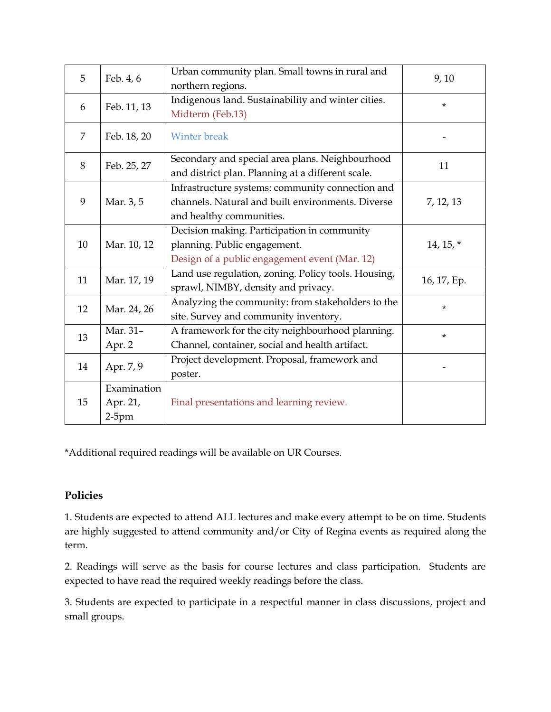| 5              | Feb. 4, 6                           | Urban community plan. Small towns in rural and<br>northern regions.                                                               | 9,10        |
|----------------|-------------------------------------|-----------------------------------------------------------------------------------------------------------------------------------|-------------|
| 6              | Feb. 11, 13                         | Indigenous land. Sustainability and winter cities.<br>Midterm (Feb.13)                                                            | ¥           |
| $\overline{7}$ | Feb. 18, 20                         | <b>Winter break</b>                                                                                                               |             |
| 8              | Feb. 25, 27                         | Secondary and special area plans. Neighbourhood<br>and district plan. Planning at a different scale.                              | 11          |
| 9              | Mar. 3, 5                           | Infrastructure systems: community connection and<br>channels. Natural and built environments. Diverse<br>and healthy communities. | 7, 12, 13   |
| 10             | Mar. 10, 12                         | Decision making. Participation in community<br>planning. Public engagement.<br>Design of a public engagement event (Mar. 12)      | $14, 15, *$ |
| 11             | Mar. 17, 19                         | Land use regulation, zoning. Policy tools. Housing,<br>sprawl, NIMBY, density and privacy.                                        | 16, 17, Ep. |
| 12             | Mar. 24, 26                         | Analyzing the community: from stakeholders to the<br>site. Survey and community inventory.                                        | $\star$     |
| 13             | Mar. 31-<br>Apr. 2                  | A framework for the city neighbourhood planning.<br>Channel, container, social and health artifact.                               | $\star$     |
| 14             | Apr. 7, 9                           | Project development. Proposal, framework and<br>poster.                                                                           |             |
| 15             | Examination<br>Apr. 21,<br>$2-5$ pm | Final presentations and learning review.                                                                                          |             |

\*Additional required readings will be available on UR Courses.

# **Policies**

1. Students are expected to attend ALL lectures and make every attempt to be on time. Students are highly suggested to attend community and/or City of Regina events as required along the term.

2. Readings will serve as the basis for course lectures and class participation. Students are expected to have read the required weekly readings before the class.

3. Students are expected to participate in a respectful manner in class discussions, project and small groups.